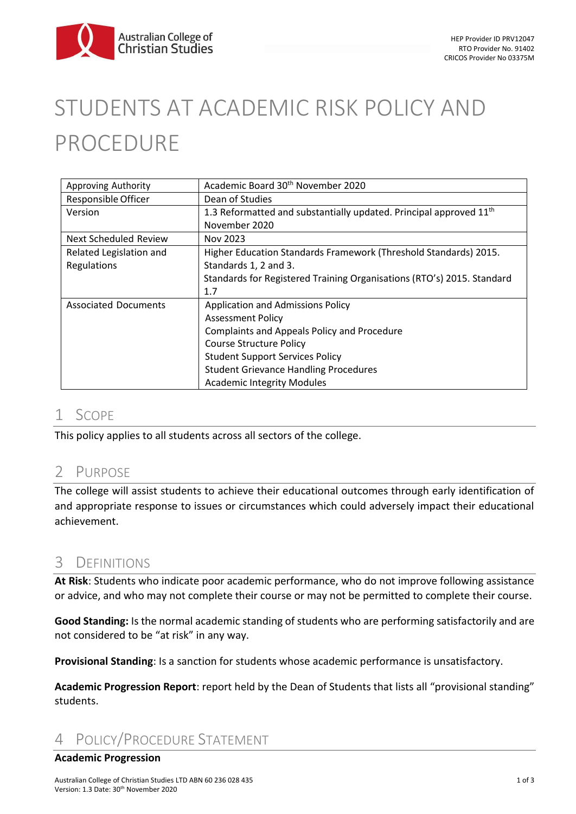

# STUDENTS AT ACADEMIC RISK POLICY AND PROCEDURE

| Approving Authority         | Academic Board 30 <sup>th</sup> November 2020                                  |
|-----------------------------|--------------------------------------------------------------------------------|
| Responsible Officer         | Dean of Studies                                                                |
| Version                     | 1.3 Reformatted and substantially updated. Principal approved 11 <sup>th</sup> |
|                             | November 2020                                                                  |
| Next Scheduled Review       | Nov 2023                                                                       |
| Related Legislation and     | Higher Education Standards Framework (Threshold Standards) 2015.               |
| Regulations                 | Standards 1, 2 and 3.                                                          |
|                             | Standards for Registered Training Organisations (RTO's) 2015. Standard         |
|                             | 1.7                                                                            |
| <b>Associated Documents</b> | <b>Application and Admissions Policy</b>                                       |
|                             | <b>Assessment Policy</b>                                                       |
|                             | Complaints and Appeals Policy and Procedure                                    |
|                             | <b>Course Structure Policy</b>                                                 |
|                             | <b>Student Support Services Policy</b>                                         |
|                             | <b>Student Grievance Handling Procedures</b>                                   |
|                             | <b>Academic Integrity Modules</b>                                              |

### 1 SCOPE

This policy applies to all students across all sectors of the college.

# 2 PURPOSE

The college will assist students to achieve their educational outcomes through early identification of and appropriate response to issues or circumstances which could adversely impact their educational achievement.

# 3 DEFINITIONS

**At Risk**: Students who indicate poor academic performance, who do not improve following assistance or advice, and who may not complete their course or may not be permitted to complete their course.

**Good Standing:** Is the normal academic standing of students who are performing satisfactorily and are not considered to be "at risk" in any way.

**Provisional Standing**: Is a sanction for students whose academic performance is unsatisfactory.

**Academic Progression Report**: report held by the Dean of Students that lists all "provisional standing" students.

# 4 POLICY/PROCEDURE STATEMENT

#### **Academic Progression**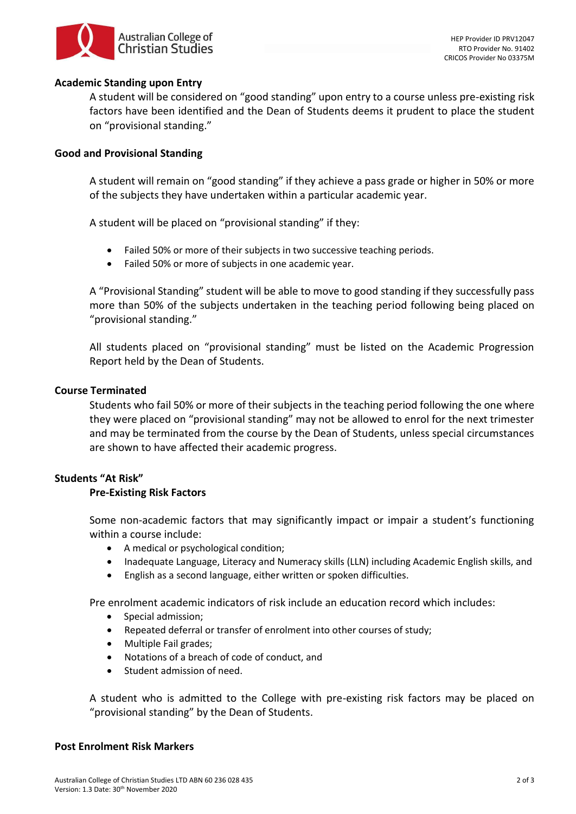

#### **Academic Standing upon Entry**

A student will be considered on "good standing" upon entry to a course unless pre-existing risk factors have been identified and the Dean of Students deems it prudent to place the student on "provisional standing."

#### **Good and Provisional Standing**

A student will remain on "good standing" if they achieve a pass grade or higher in 50% or more of the subjects they have undertaken within a particular academic year.

A student will be placed on "provisional standing" if they:

- Failed 50% or more of their subjects in two successive teaching periods.
- Failed 50% or more of subjects in one academic year.

A "Provisional Standing" student will be able to move to good standing if they successfully pass more than 50% of the subjects undertaken in the teaching period following being placed on "provisional standing."

All students placed on "provisional standing" must be listed on the Academic Progression Report held by the Dean of Students.

#### **Course Terminated**

Students who fail 50% or more of their subjects in the teaching period following the one where they were placed on "provisional standing" may not be allowed to enrol for the next trimester and may be terminated from the course by the Dean of Students, unless special circumstances are shown to have affected their academic progress.

#### **Students "At Risk"**

#### **Pre-Existing Risk Factors**

Some non-academic factors that may significantly impact or impair a student's functioning within a course include:

- A medical or psychological condition;
- Inadequate Language, Literacy and Numeracy skills (LLN) including Academic English skills, and
- English as a second language, either written or spoken difficulties.

Pre enrolment academic indicators of risk include an education record which includes:

- Special admission;
- Repeated deferral or transfer of enrolment into other courses of study;
- Multiple Fail grades;
- Notations of a breach of code of conduct, and
- Student admission of need.

A student who is admitted to the College with pre-existing risk factors may be placed on "provisional standing" by the Dean of Students.

#### **Post Enrolment Risk Markers**